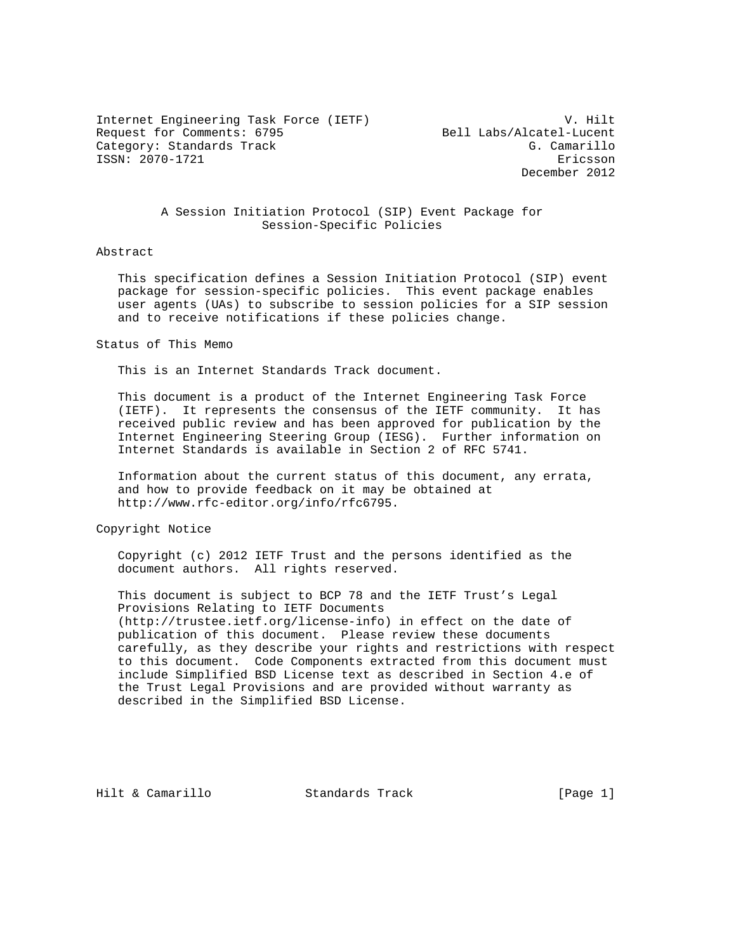Internet Engineering Task Force (IETF) V. Hilt<br>Request for Comments: 6795 (Request for Comments: 6795) Request for Comments: 6795 Category: Standards Track G. Camarillo ISSN: 2070-1721 Ericsson

December 2012

## A Session Initiation Protocol (SIP) Event Package for Session-Specific Policies

#### Abstract

 This specification defines a Session Initiation Protocol (SIP) event package for session-specific policies. This event package enables user agents (UAs) to subscribe to session policies for a SIP session and to receive notifications if these policies change.

#### Status of This Memo

This is an Internet Standards Track document.

 This document is a product of the Internet Engineering Task Force (IETF). It represents the consensus of the IETF community. It has received public review and has been approved for publication by the Internet Engineering Steering Group (IESG). Further information on Internet Standards is available in Section 2 of RFC 5741.

 Information about the current status of this document, any errata, and how to provide feedback on it may be obtained at http://www.rfc-editor.org/info/rfc6795.

Copyright Notice

 Copyright (c) 2012 IETF Trust and the persons identified as the document authors. All rights reserved.

 This document is subject to BCP 78 and the IETF Trust's Legal Provisions Relating to IETF Documents (http://trustee.ietf.org/license-info) in effect on the date of publication of this document. Please review these documents carefully, as they describe your rights and restrictions with respect to this document. Code Components extracted from this document must include Simplified BSD License text as described in Section 4.e of the Trust Legal Provisions and are provided without warranty as described in the Simplified BSD License.

Hilt & Camarillo Standards Track [Page 1]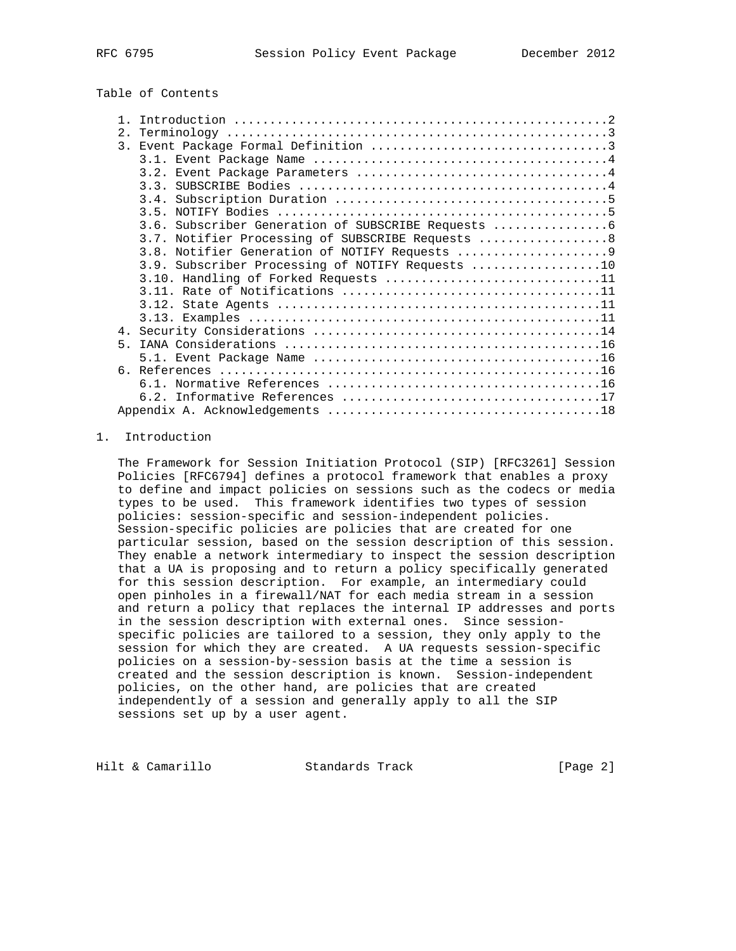# Table of Contents

| 2 <sub>1</sub> |                                                   |
|----------------|---------------------------------------------------|
|                |                                                   |
|                |                                                   |
|                |                                                   |
|                |                                                   |
|                |                                                   |
|                |                                                   |
|                | 3.6. Subscriber Generation of SUBSCRIBE Requests  |
|                | 3.7. Notifier Processing of SUBSCRIBE Requests  8 |
|                |                                                   |
|                | 3.9. Subscriber Processing of NOTIFY Requests 10  |
|                | 3.10. Handling of Forked Requests 11              |
|                |                                                   |
|                |                                                   |
|                |                                                   |
|                |                                                   |
| $5 -$          |                                                   |
|                |                                                   |
|                |                                                   |
|                |                                                   |
|                |                                                   |
|                |                                                   |

## 1. Introduction

 The Framework for Session Initiation Protocol (SIP) [RFC3261] Session Policies [RFC6794] defines a protocol framework that enables a proxy to define and impact policies on sessions such as the codecs or media types to be used. This framework identifies two types of session policies: session-specific and session-independent policies. Session-specific policies are policies that are created for one particular session, based on the session description of this session. They enable a network intermediary to inspect the session description that a UA is proposing and to return a policy specifically generated for this session description. For example, an intermediary could open pinholes in a firewall/NAT for each media stream in a session and return a policy that replaces the internal IP addresses and ports in the session description with external ones. Since session specific policies are tailored to a session, they only apply to the session for which they are created. A UA requests session-specific policies on a session-by-session basis at the time a session is created and the session description is known. Session-independent policies, on the other hand, are policies that are created independently of a session and generally apply to all the SIP sessions set up by a user agent.

Hilt & Camarillo Standards Track [Page 2]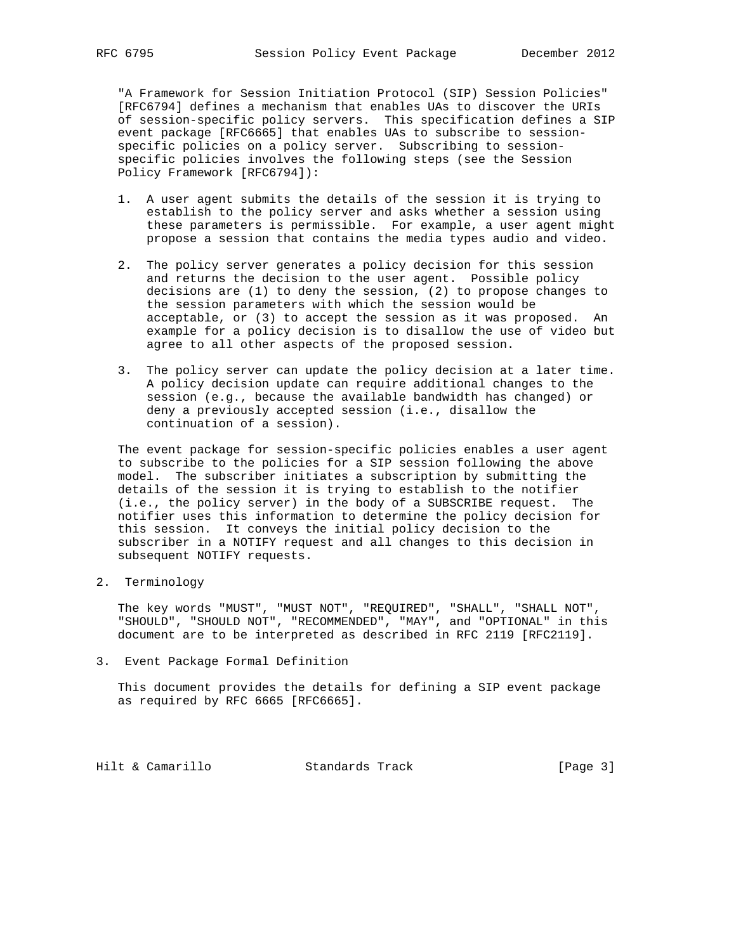"A Framework for Session Initiation Protocol (SIP) Session Policies" [RFC6794] defines a mechanism that enables UAs to discover the URIs of session-specific policy servers. This specification defines a SIP event package [RFC6665] that enables UAs to subscribe to session specific policies on a policy server. Subscribing to session specific policies involves the following steps (see the Session Policy Framework [RFC6794]):

- 1. A user agent submits the details of the session it is trying to establish to the policy server and asks whether a session using these parameters is permissible. For example, a user agent might propose a session that contains the media types audio and video.
- 2. The policy server generates a policy decision for this session and returns the decision to the user agent. Possible policy decisions are (1) to deny the session, (2) to propose changes to the session parameters with which the session would be acceptable, or (3) to accept the session as it was proposed. An example for a policy decision is to disallow the use of video but agree to all other aspects of the proposed session.
- 3. The policy server can update the policy decision at a later time. A policy decision update can require additional changes to the session (e.g., because the available bandwidth has changed) or deny a previously accepted session (i.e., disallow the continuation of a session).

 The event package for session-specific policies enables a user agent to subscribe to the policies for a SIP session following the above model. The subscriber initiates a subscription by submitting the details of the session it is trying to establish to the notifier (i.e., the policy server) in the body of a SUBSCRIBE request. The notifier uses this information to determine the policy decision for this session. It conveys the initial policy decision to the subscriber in a NOTIFY request and all changes to this decision in subsequent NOTIFY requests.

2. Terminology

 The key words "MUST", "MUST NOT", "REQUIRED", "SHALL", "SHALL NOT", "SHOULD", "SHOULD NOT", "RECOMMENDED", "MAY", and "OPTIONAL" in this document are to be interpreted as described in RFC 2119 [RFC2119].

3. Event Package Formal Definition

 This document provides the details for defining a SIP event package as required by RFC 6665 [RFC6665].

Hilt & Camarillo Standards Track [Page 3]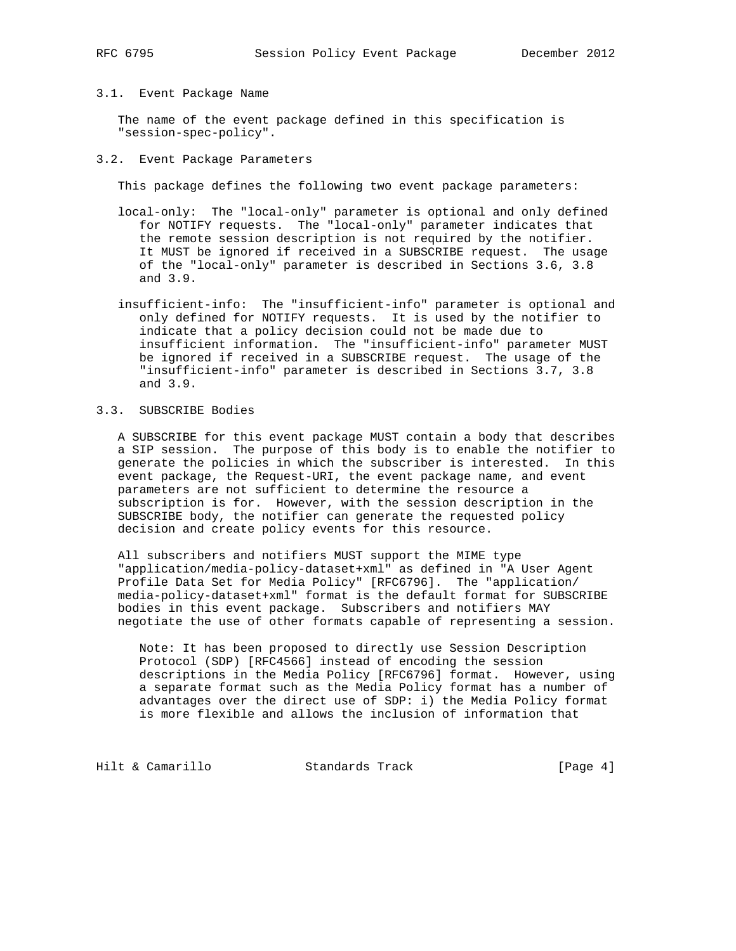## 3.1. Event Package Name

 The name of the event package defined in this specification is "session-spec-policy".

#### 3.2. Event Package Parameters

This package defines the following two event package parameters:

- local-only: The "local-only" parameter is optional and only defined for NOTIFY requests. The "local-only" parameter indicates that the remote session description is not required by the notifier. It MUST be ignored if received in a SUBSCRIBE request. The usage of the "local-only" parameter is described in Sections 3.6, 3.8 and 3.9.
- insufficient-info: The "insufficient-info" parameter is optional and only defined for NOTIFY requests. It is used by the notifier to indicate that a policy decision could not be made due to insufficient information. The "insufficient-info" parameter MUST be ignored if received in a SUBSCRIBE request. The usage of the "insufficient-info" parameter is described in Sections 3.7, 3.8 and 3.9.

## 3.3. SUBSCRIBE Bodies

 A SUBSCRIBE for this event package MUST contain a body that describes a SIP session. The purpose of this body is to enable the notifier to generate the policies in which the subscriber is interested. In this event package, the Request-URI, the event package name, and event parameters are not sufficient to determine the resource a subscription is for. However, with the session description in the SUBSCRIBE body, the notifier can generate the requested policy decision and create policy events for this resource.

 All subscribers and notifiers MUST support the MIME type "application/media-policy-dataset+xml" as defined in "A User Agent Profile Data Set for Media Policy" [RFC6796]. The "application/ media-policy-dataset+xml" format is the default format for SUBSCRIBE bodies in this event package. Subscribers and notifiers MAY negotiate the use of other formats capable of representing a session.

 Note: It has been proposed to directly use Session Description Protocol (SDP) [RFC4566] instead of encoding the session descriptions in the Media Policy [RFC6796] format. However, using a separate format such as the Media Policy format has a number of advantages over the direct use of SDP: i) the Media Policy format is more flexible and allows the inclusion of information that

Hilt & Camarillo Standards Track [Page 4]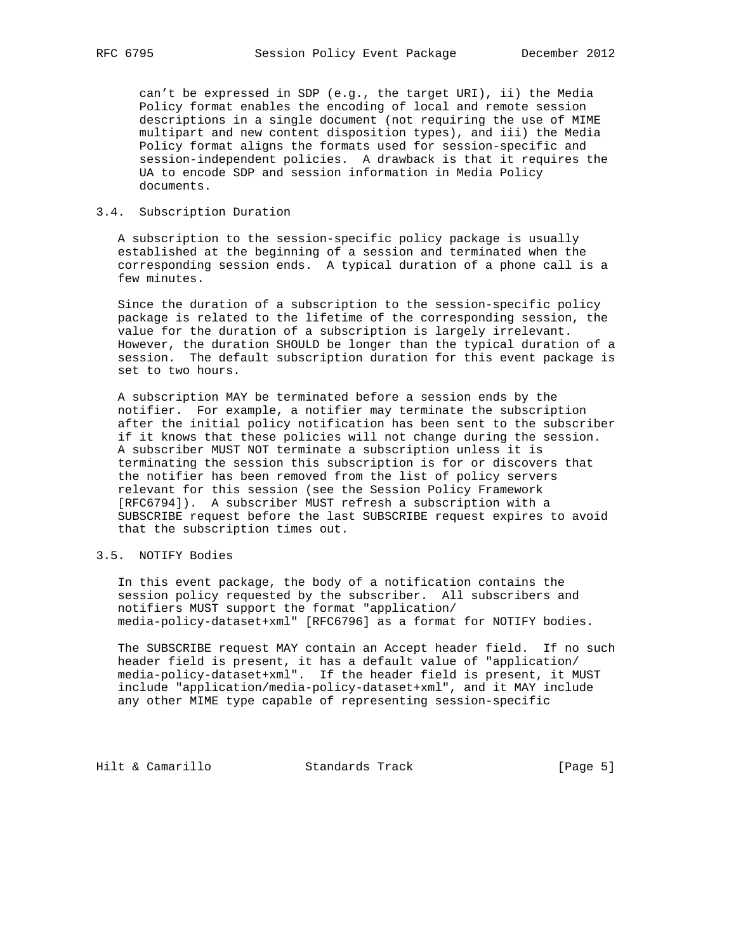can't be expressed in SDP (e.g., the target URI), ii) the Media Policy format enables the encoding of local and remote session descriptions in a single document (not requiring the use of MIME multipart and new content disposition types), and iii) the Media Policy format aligns the formats used for session-specific and session-independent policies. A drawback is that it requires the UA to encode SDP and session information in Media Policy documents.

### 3.4. Subscription Duration

 A subscription to the session-specific policy package is usually established at the beginning of a session and terminated when the corresponding session ends. A typical duration of a phone call is a few minutes.

 Since the duration of a subscription to the session-specific policy package is related to the lifetime of the corresponding session, the value for the duration of a subscription is largely irrelevant. However, the duration SHOULD be longer than the typical duration of a session. The default subscription duration for this event package is set to two hours.

 A subscription MAY be terminated before a session ends by the notifier. For example, a notifier may terminate the subscription after the initial policy notification has been sent to the subscriber if it knows that these policies will not change during the session. A subscriber MUST NOT terminate a subscription unless it is terminating the session this subscription is for or discovers that the notifier has been removed from the list of policy servers relevant for this session (see the Session Policy Framework [RFC6794]). A subscriber MUST refresh a subscription with a SUBSCRIBE request before the last SUBSCRIBE request expires to avoid that the subscription times out.

#### 3.5. NOTIFY Bodies

 In this event package, the body of a notification contains the session policy requested by the subscriber. All subscribers and notifiers MUST support the format "application/ media-policy-dataset+xml" [RFC6796] as a format for NOTIFY bodies.

 The SUBSCRIBE request MAY contain an Accept header field. If no such header field is present, it has a default value of "application/ media-policy-dataset+xml". If the header field is present, it MUST include "application/media-policy-dataset+xml", and it MAY include any other MIME type capable of representing session-specific

Hilt & Camarillo Standards Track [Page 5]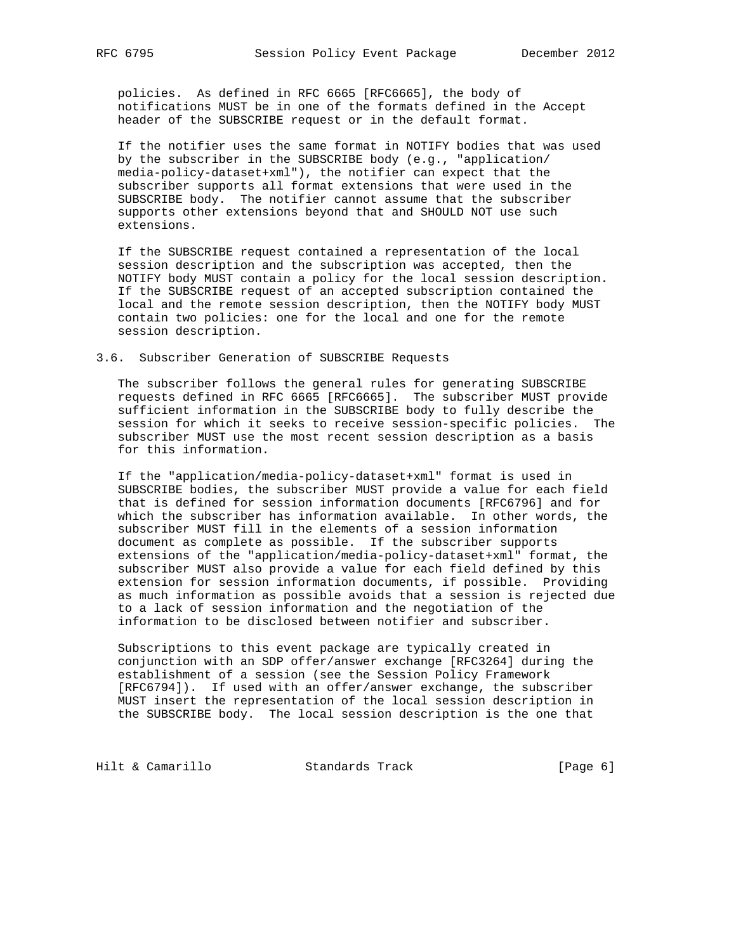policies. As defined in RFC 6665 [RFC6665], the body of notifications MUST be in one of the formats defined in the Accept header of the SUBSCRIBE request or in the default format.

 If the notifier uses the same format in NOTIFY bodies that was used by the subscriber in the SUBSCRIBE body (e.g., "application/ media-policy-dataset+xml"), the notifier can expect that the subscriber supports all format extensions that were used in the SUBSCRIBE body. The notifier cannot assume that the subscriber supports other extensions beyond that and SHOULD NOT use such extensions.

 If the SUBSCRIBE request contained a representation of the local session description and the subscription was accepted, then the NOTIFY body MUST contain a policy for the local session description. If the SUBSCRIBE request of an accepted subscription contained the local and the remote session description, then the NOTIFY body MUST contain two policies: one for the local and one for the remote session description.

#### 3.6. Subscriber Generation of SUBSCRIBE Requests

 The subscriber follows the general rules for generating SUBSCRIBE requests defined in RFC 6665 [RFC6665]. The subscriber MUST provide sufficient information in the SUBSCRIBE body to fully describe the session for which it seeks to receive session-specific policies. The subscriber MUST use the most recent session description as a basis for this information.

 If the "application/media-policy-dataset+xml" format is used in SUBSCRIBE bodies, the subscriber MUST provide a value for each field that is defined for session information documents [RFC6796] and for which the subscriber has information available. In other words, the subscriber MUST fill in the elements of a session information document as complete as possible. If the subscriber supports extensions of the "application/media-policy-dataset+xml" format, the subscriber MUST also provide a value for each field defined by this extension for session information documents, if possible. Providing as much information as possible avoids that a session is rejected due to a lack of session information and the negotiation of the information to be disclosed between notifier and subscriber.

 Subscriptions to this event package are typically created in conjunction with an SDP offer/answer exchange [RFC3264] during the establishment of a session (see the Session Policy Framework [RFC6794]). If used with an offer/answer exchange, the subscriber MUST insert the representation of the local session description in the SUBSCRIBE body. The local session description is the one that

Hilt & Camarillo Standards Track [Page 6]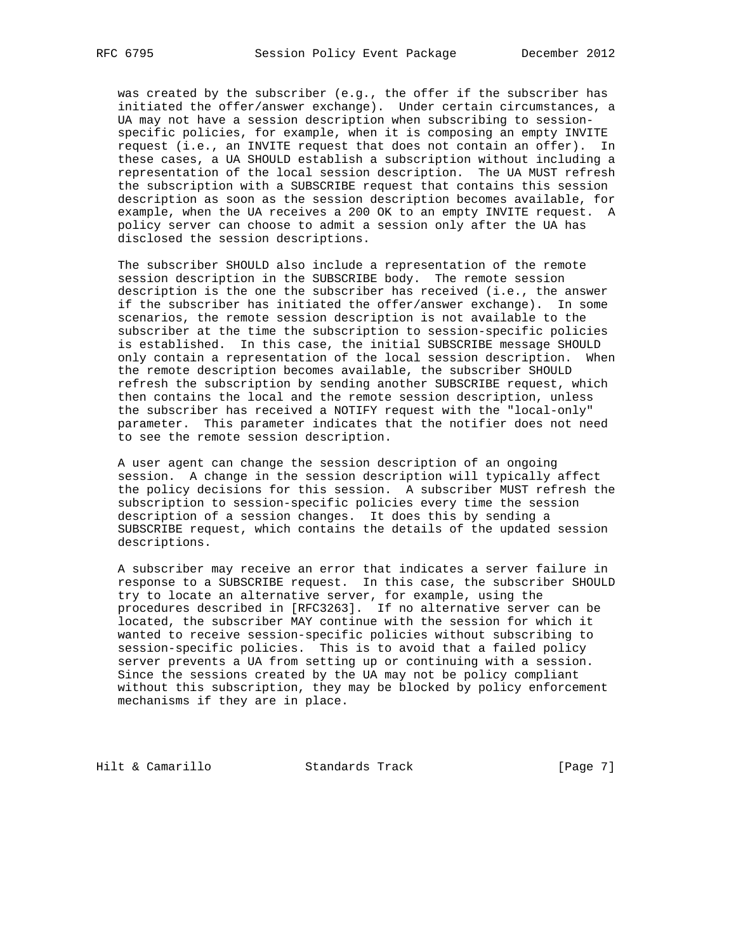was created by the subscriber (e.g., the offer if the subscriber has initiated the offer/answer exchange). Under certain circumstances, a UA may not have a session description when subscribing to session specific policies, for example, when it is composing an empty INVITE request (i.e., an INVITE request that does not contain an offer). In these cases, a UA SHOULD establish a subscription without including a representation of the local session description. The UA MUST refresh the subscription with a SUBSCRIBE request that contains this session description as soon as the session description becomes available, for example, when the UA receives a 200 OK to an empty INVITE request. A policy server can choose to admit a session only after the UA has disclosed the session descriptions.

 The subscriber SHOULD also include a representation of the remote session description in the SUBSCRIBE body. The remote session description is the one the subscriber has received (i.e., the answer if the subscriber has initiated the offer/answer exchange). In some scenarios, the remote session description is not available to the subscriber at the time the subscription to session-specific policies is established. In this case, the initial SUBSCRIBE message SHOULD only contain a representation of the local session description. When the remote description becomes available, the subscriber SHOULD refresh the subscription by sending another SUBSCRIBE request, which then contains the local and the remote session description, unless the subscriber has received a NOTIFY request with the "local-only" parameter. This parameter indicates that the notifier does not need to see the remote session description.

 A user agent can change the session description of an ongoing session. A change in the session description will typically affect the policy decisions for this session. A subscriber MUST refresh the subscription to session-specific policies every time the session description of a session changes. It does this by sending a SUBSCRIBE request, which contains the details of the updated session descriptions.

 A subscriber may receive an error that indicates a server failure in response to a SUBSCRIBE request. In this case, the subscriber SHOULD try to locate an alternative server, for example, using the procedures described in [RFC3263]. If no alternative server can be located, the subscriber MAY continue with the session for which it wanted to receive session-specific policies without subscribing to session-specific policies. This is to avoid that a failed policy server prevents a UA from setting up or continuing with a session. Since the sessions created by the UA may not be policy compliant without this subscription, they may be blocked by policy enforcement mechanisms if they are in place.

Hilt & Camarillo Standards Track [Page 7]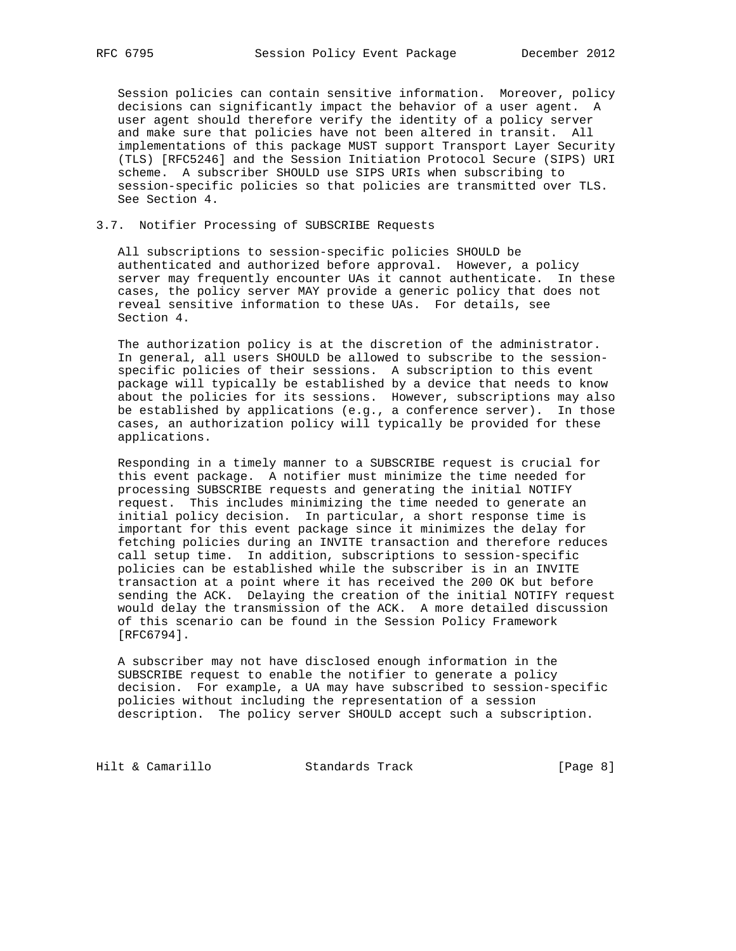Session policies can contain sensitive information. Moreover, policy decisions can significantly impact the behavior of a user agent. A user agent should therefore verify the identity of a policy server and make sure that policies have not been altered in transit. All implementations of this package MUST support Transport Layer Security (TLS) [RFC5246] and the Session Initiation Protocol Secure (SIPS) URI scheme. A subscriber SHOULD use SIPS URIs when subscribing to session-specific policies so that policies are transmitted over TLS. See Section 4.

## 3.7. Notifier Processing of SUBSCRIBE Requests

 All subscriptions to session-specific policies SHOULD be authenticated and authorized before approval. However, a policy server may frequently encounter UAs it cannot authenticate. In these cases, the policy server MAY provide a generic policy that does not reveal sensitive information to these UAs. For details, see Section 4.

 The authorization policy is at the discretion of the administrator. In general, all users SHOULD be allowed to subscribe to the session specific policies of their sessions. A subscription to this event package will typically be established by a device that needs to know about the policies for its sessions. However, subscriptions may also be established by applications (e.g., a conference server). In those cases, an authorization policy will typically be provided for these applications.

 Responding in a timely manner to a SUBSCRIBE request is crucial for this event package. A notifier must minimize the time needed for processing SUBSCRIBE requests and generating the initial NOTIFY request. This includes minimizing the time needed to generate an initial policy decision. In particular, a short response time is important for this event package since it minimizes the delay for fetching policies during an INVITE transaction and therefore reduces call setup time. In addition, subscriptions to session-specific policies can be established while the subscriber is in an INVITE transaction at a point where it has received the 200 OK but before sending the ACK. Delaying the creation of the initial NOTIFY request would delay the transmission of the ACK. A more detailed discussion of this scenario can be found in the Session Policy Framework [RFC6794].

 A subscriber may not have disclosed enough information in the SUBSCRIBE request to enable the notifier to generate a policy decision. For example, a UA may have subscribed to session-specific policies without including the representation of a session description. The policy server SHOULD accept such a subscription.

Hilt & Camarillo Standards Track [Page 8]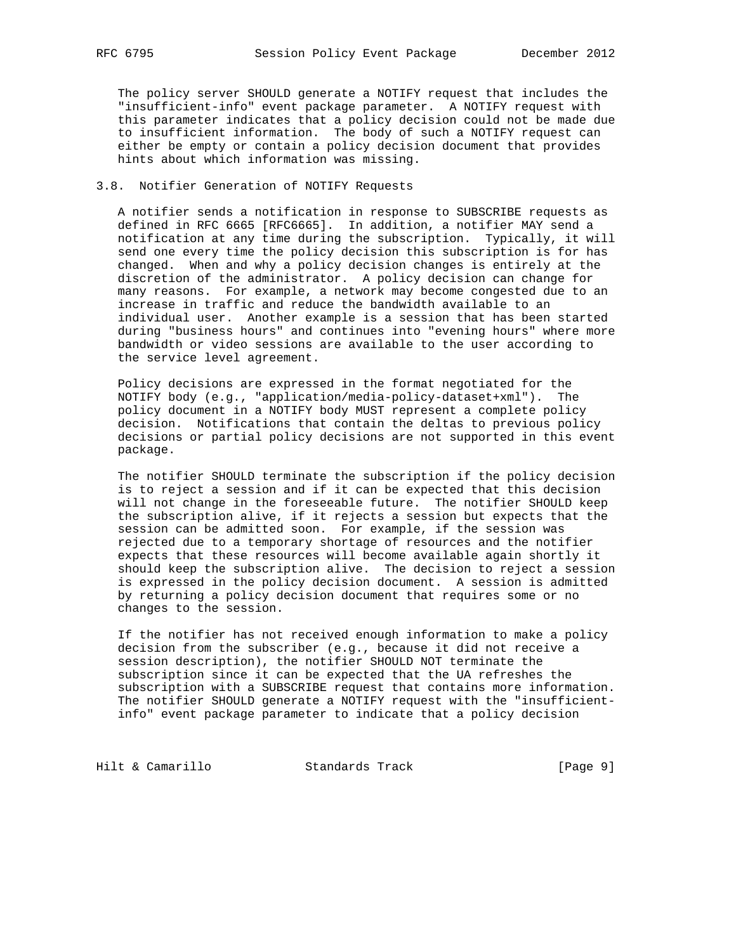The policy server SHOULD generate a NOTIFY request that includes the "insufficient-info" event package parameter. A NOTIFY request with this parameter indicates that a policy decision could not be made due to insufficient information. The body of such a NOTIFY request can either be empty or contain a policy decision document that provides hints about which information was missing.

#### 3.8. Notifier Generation of NOTIFY Requests

 A notifier sends a notification in response to SUBSCRIBE requests as defined in RFC 6665 [RFC6665]. In addition, a notifier MAY send a notification at any time during the subscription. Typically, it will send one every time the policy decision this subscription is for has changed. When and why a policy decision changes is entirely at the discretion of the administrator. A policy decision can change for many reasons. For example, a network may become congested due to an increase in traffic and reduce the bandwidth available to an individual user. Another example is a session that has been started during "business hours" and continues into "evening hours" where more bandwidth or video sessions are available to the user according to the service level agreement.

 Policy decisions are expressed in the format negotiated for the NOTIFY body (e.g., "application/media-policy-dataset+xml"). The policy document in a NOTIFY body MUST represent a complete policy decision. Notifications that contain the deltas to previous policy decisions or partial policy decisions are not supported in this event package.

 The notifier SHOULD terminate the subscription if the policy decision is to reject a session and if it can be expected that this decision will not change in the foreseeable future. The notifier SHOULD keep the subscription alive, if it rejects a session but expects that the session can be admitted soon. For example, if the session was rejected due to a temporary shortage of resources and the notifier expects that these resources will become available again shortly it should keep the subscription alive. The decision to reject a session is expressed in the policy decision document. A session is admitted by returning a policy decision document that requires some or no changes to the session.

 If the notifier has not received enough information to make a policy decision from the subscriber (e.g., because it did not receive a session description), the notifier SHOULD NOT terminate the subscription since it can be expected that the UA refreshes the subscription with a SUBSCRIBE request that contains more information. The notifier SHOULD generate a NOTIFY request with the "insufficient info" event package parameter to indicate that a policy decision

Hilt & Camarillo Standards Track [Page 9]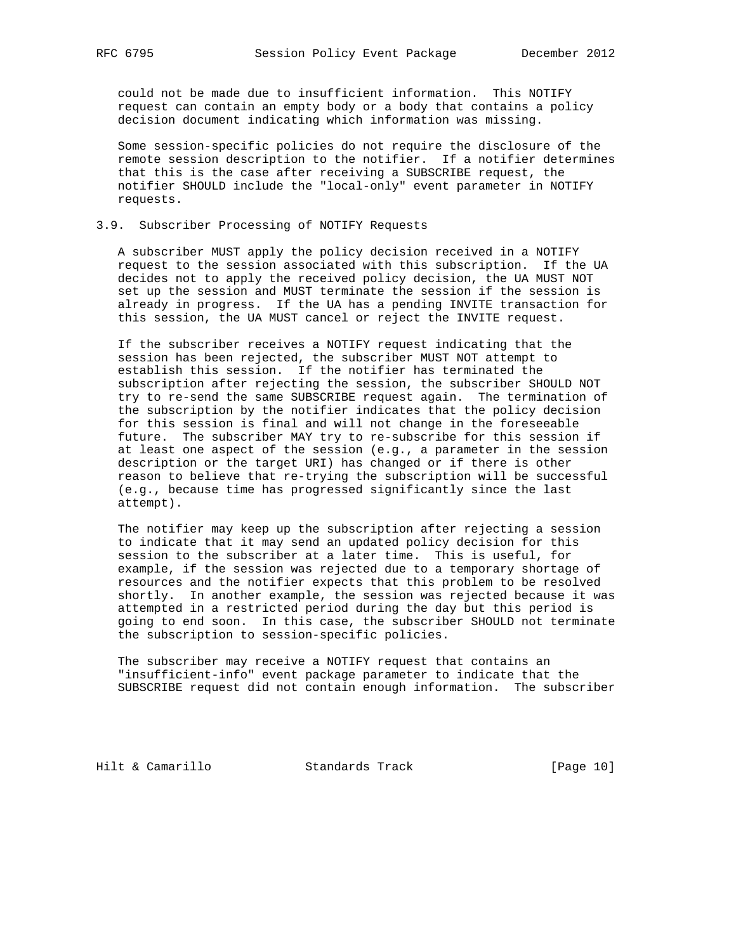could not be made due to insufficient information. This NOTIFY request can contain an empty body or a body that contains a policy decision document indicating which information was missing.

 Some session-specific policies do not require the disclosure of the remote session description to the notifier. If a notifier determines that this is the case after receiving a SUBSCRIBE request, the notifier SHOULD include the "local-only" event parameter in NOTIFY requests.

## 3.9. Subscriber Processing of NOTIFY Requests

 A subscriber MUST apply the policy decision received in a NOTIFY request to the session associated with this subscription. If the UA decides not to apply the received policy decision, the UA MUST NOT set up the session and MUST terminate the session if the session is already in progress. If the UA has a pending INVITE transaction for this session, the UA MUST cancel or reject the INVITE request.

 If the subscriber receives a NOTIFY request indicating that the session has been rejected, the subscriber MUST NOT attempt to establish this session. If the notifier has terminated the subscription after rejecting the session, the subscriber SHOULD NOT try to re-send the same SUBSCRIBE request again. The termination of the subscription by the notifier indicates that the policy decision for this session is final and will not change in the foreseeable future. The subscriber MAY try to re-subscribe for this session if at least one aspect of the session (e.g., a parameter in the session description or the target URI) has changed or if there is other reason to believe that re-trying the subscription will be successful (e.g., because time has progressed significantly since the last attempt).

 The notifier may keep up the subscription after rejecting a session to indicate that it may send an updated policy decision for this session to the subscriber at a later time. This is useful, for example, if the session was rejected due to a temporary shortage of resources and the notifier expects that this problem to be resolved shortly. In another example, the session was rejected because it was attempted in a restricted period during the day but this period is going to end soon. In this case, the subscriber SHOULD not terminate the subscription to session-specific policies.

 The subscriber may receive a NOTIFY request that contains an "insufficient-info" event package parameter to indicate that the SUBSCRIBE request did not contain enough information. The subscriber

Hilt & Camarillo Standards Track [Page 10]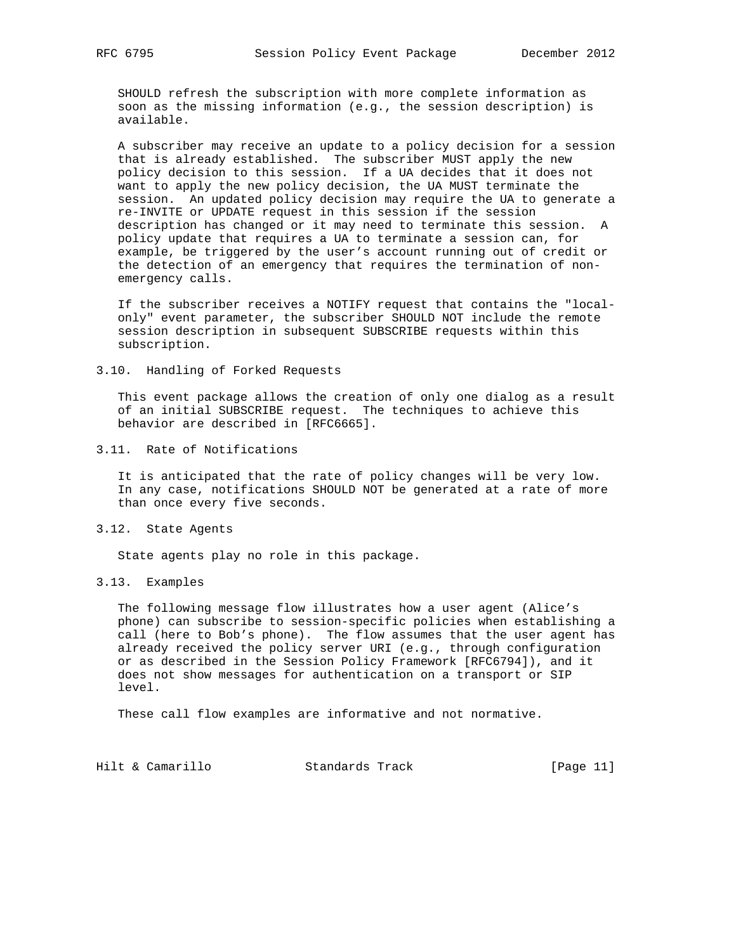SHOULD refresh the subscription with more complete information as soon as the missing information (e.g., the session description) is available.

 A subscriber may receive an update to a policy decision for a session that is already established. The subscriber MUST apply the new policy decision to this session. If a UA decides that it does not want to apply the new policy decision, the UA MUST terminate the session. An updated policy decision may require the UA to generate a re-INVITE or UPDATE request in this session if the session description has changed or it may need to terminate this session. A policy update that requires a UA to terminate a session can, for example, be triggered by the user's account running out of credit or the detection of an emergency that requires the termination of non emergency calls.

 If the subscriber receives a NOTIFY request that contains the "local only" event parameter, the subscriber SHOULD NOT include the remote session description in subsequent SUBSCRIBE requests within this subscription.

3.10. Handling of Forked Requests

 This event package allows the creation of only one dialog as a result of an initial SUBSCRIBE request. The techniques to achieve this behavior are described in [RFC6665].

3.11. Rate of Notifications

 It is anticipated that the rate of policy changes will be very low. In any case, notifications SHOULD NOT be generated at a rate of more than once every five seconds.

3.12. State Agents

State agents play no role in this package.

3.13. Examples

 The following message flow illustrates how a user agent (Alice's phone) can subscribe to session-specific policies when establishing a call (here to Bob's phone). The flow assumes that the user agent has already received the policy server URI (e.g., through configuration or as described in the Session Policy Framework [RFC6794]), and it does not show messages for authentication on a transport or SIP level.

These call flow examples are informative and not normative.

Hilt & Camarillo Standards Track [Page 11]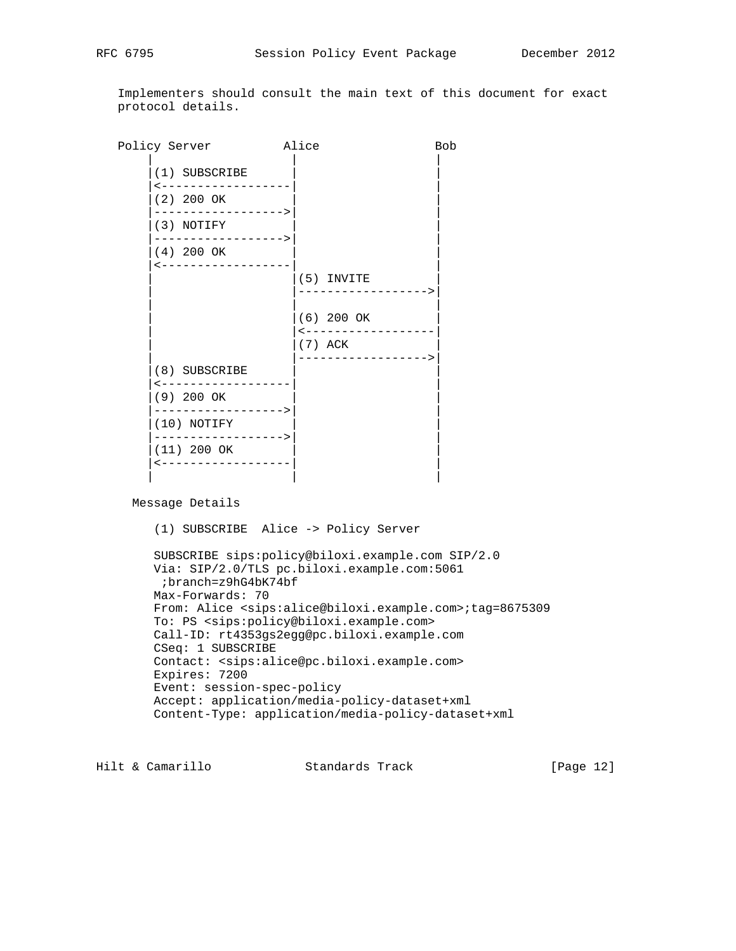Implementers should consult the main text of this document for exact protocol details.

Policy Server **Alice Bob**  | | |  $(1)$  SUBSCRIBE |<------------------| | |(2) 200 OK | | |------------------>| | (3) NOTIFY |------------------>| |  $(4)$  200 OK |<------------------| |  $|(5)$  INVITE | |------------------>| | | |  $(6)$  200 OK | <------------------ $|(7)$  ACK | |------------------>| (8) SUBSCRIBE |<------------------| | |(9) 200 OK | | |------------------>| | |(10) NOTIFY | | |------------------>| | (11) 200 OK |<------------------| | | | |

Message Details

(1) SUBSCRIBE Alice -> Policy Server

 SUBSCRIBE sips:policy@biloxi.example.com SIP/2.0 Via: SIP/2.0/TLS pc.biloxi.example.com:5061 ;branch=z9hG4bK74bf Max-Forwards: 70 From: Alice <sips:alice@biloxi.example.com>;tag=8675309 To: PS <sips:policy@biloxi.example.com> Call-ID: rt4353gs2egg@pc.biloxi.example.com CSeq: 1 SUBSCRIBE Contact: <sips:alice@pc.biloxi.example.com> Expires: 7200 Event: session-spec-policy Accept: application/media-policy-dataset+xml Content-Type: application/media-policy-dataset+xml

Hilt & Camarillo Standards Track [Page 12]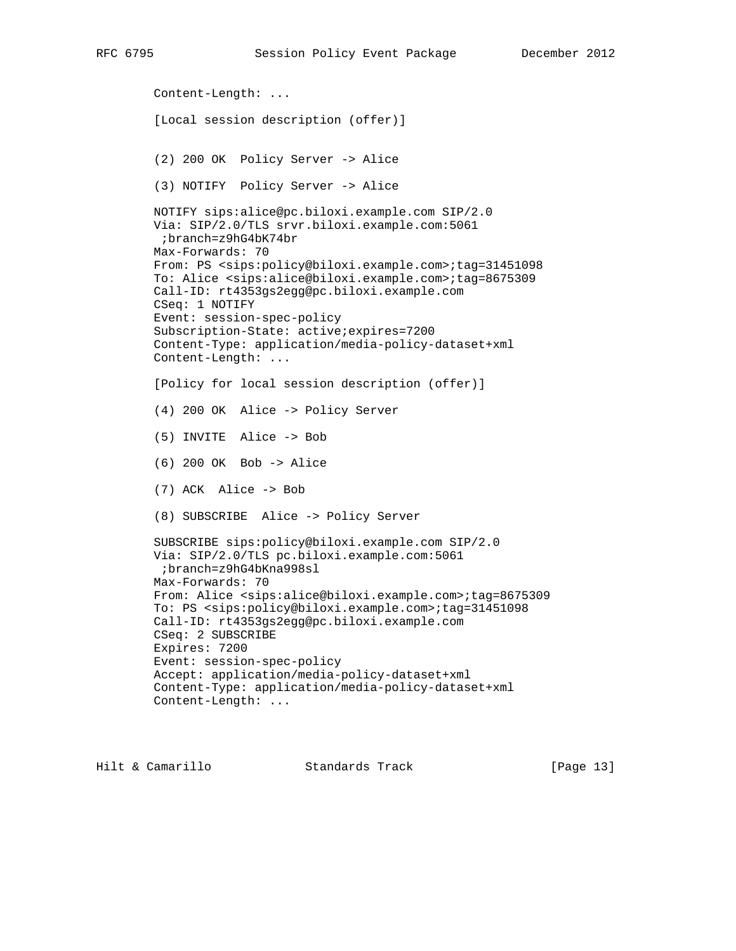Content-Length: ... [Local session description (offer)] (2) 200 OK Policy Server -> Alice (3) NOTIFY Policy Server -> Alice NOTIFY sips:alice@pc.biloxi.example.com SIP/2.0 Via: SIP/2.0/TLS srvr.biloxi.example.com:5061 ;branch=z9hG4bK74br Max-Forwards: 70 From: PS <sips:policy@biloxi.example.com>;tag=31451098 To: Alice <sips:alice@biloxi.example.com>;tag=8675309 Call-ID: rt4353gs2egg@pc.biloxi.example.com CSeq: 1 NOTIFY Event: session-spec-policy Subscription-State: active;expires=7200 Content-Type: application/media-policy-dataset+xml Content-Length: ... [Policy for local session description (offer)] (4) 200 OK Alice -> Policy Server (5) INVITE Alice -> Bob (6) 200 OK Bob -> Alice (7) ACK Alice -> Bob (8) SUBSCRIBE Alice -> Policy Server SUBSCRIBE sips:policy@biloxi.example.com SIP/2.0 Via: SIP/2.0/TLS pc.biloxi.example.com:5061 ;branch=z9hG4bKna998sl Max-Forwards: 70 From: Alice <sips:alice@biloxi.example.com>;tag=8675309 To: PS <sips:policy@biloxi.example.com>;tag=31451098 Call-ID: rt4353gs2egg@pc.biloxi.example.com CSeq: 2 SUBSCRIBE Expires: 7200 Event: session-spec-policy Accept: application/media-policy-dataset+xml Content-Type: application/media-policy-dataset+xml Content-Length: ...

Hilt & Camarillo Standards Track [Page 13]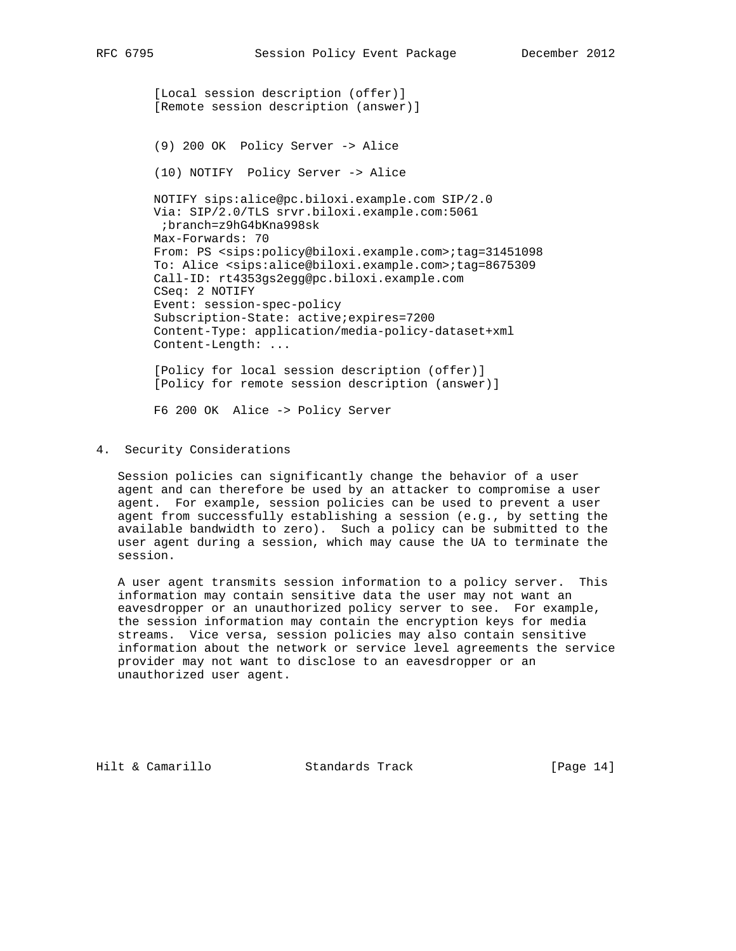[Local session description (offer)] [Remote session description (answer)] (9) 200 OK Policy Server -> Alice (10) NOTIFY Policy Server -> Alice NOTIFY sips:alice@pc.biloxi.example.com SIP/2.0 Via: SIP/2.0/TLS srvr.biloxi.example.com:5061 ;branch=z9hG4bKna998sk Max-Forwards: 70 From: PS <sips:policy@biloxi.example.com>;tag=31451098 To: Alice <sips:alice@biloxi.example.com>;tag=8675309 Call-ID: rt4353gs2egg@pc.biloxi.example.com CSeq: 2 NOTIFY Event: session-spec-policy Subscription-State: active;expires=7200 Content-Type: application/media-policy-dataset+xml Content-Length: ... [Policy for local session description (offer)] [Policy for remote session description (answer)] F6 200 OK Alice -> Policy Server

4. Security Considerations

 Session policies can significantly change the behavior of a user agent and can therefore be used by an attacker to compromise a user agent. For example, session policies can be used to prevent a user agent from successfully establishing a session (e.g., by setting the available bandwidth to zero). Such a policy can be submitted to the user agent during a session, which may cause the UA to terminate the session.

 A user agent transmits session information to a policy server. This information may contain sensitive data the user may not want an eavesdropper or an unauthorized policy server to see. For example, the session information may contain the encryption keys for media streams. Vice versa, session policies may also contain sensitive information about the network or service level agreements the service provider may not want to disclose to an eavesdropper or an unauthorized user agent.

Hilt & Camarillo Standards Track [Page 14]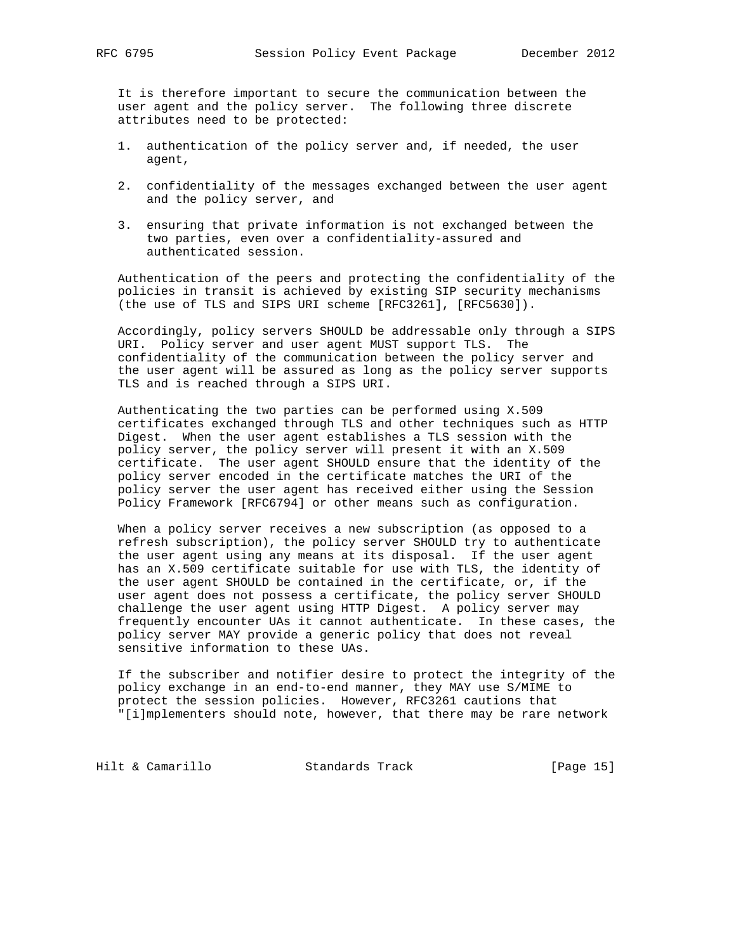It is therefore important to secure the communication between the user agent and the policy server. The following three discrete attributes need to be protected:

- 1. authentication of the policy server and, if needed, the user agent,
- 2. confidentiality of the messages exchanged between the user agent and the policy server, and
- 3. ensuring that private information is not exchanged between the two parties, even over a confidentiality-assured and authenticated session.

 Authentication of the peers and protecting the confidentiality of the policies in transit is achieved by existing SIP security mechanisms (the use of TLS and SIPS URI scheme [RFC3261], [RFC5630]).

 Accordingly, policy servers SHOULD be addressable only through a SIPS URI. Policy server and user agent MUST support TLS. The confidentiality of the communication between the policy server and the user agent will be assured as long as the policy server supports TLS and is reached through a SIPS URI.

 Authenticating the two parties can be performed using X.509 certificates exchanged through TLS and other techniques such as HTTP Digest. When the user agent establishes a TLS session with the policy server, the policy server will present it with an X.509 certificate. The user agent SHOULD ensure that the identity of the policy server encoded in the certificate matches the URI of the policy server the user agent has received either using the Session Policy Framework [RFC6794] or other means such as configuration.

 When a policy server receives a new subscription (as opposed to a refresh subscription), the policy server SHOULD try to authenticate the user agent using any means at its disposal. If the user agent has an X.509 certificate suitable for use with TLS, the identity of the user agent SHOULD be contained in the certificate, or, if the user agent does not possess a certificate, the policy server SHOULD challenge the user agent using HTTP Digest. A policy server may frequently encounter UAs it cannot authenticate. In these cases, the policy server MAY provide a generic policy that does not reveal sensitive information to these UAs.

 If the subscriber and notifier desire to protect the integrity of the policy exchange in an end-to-end manner, they MAY use S/MIME to protect the session policies. However, RFC3261 cautions that "[i]mplementers should note, however, that there may be rare network

Hilt & Camarillo Standards Track [Page 15]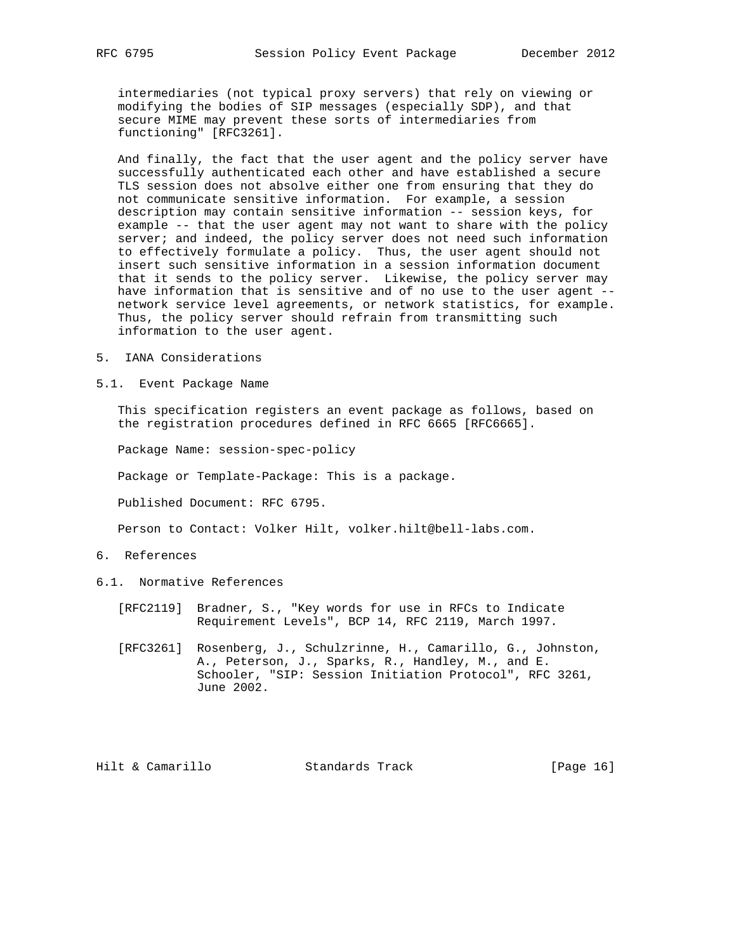intermediaries (not typical proxy servers) that rely on viewing or modifying the bodies of SIP messages (especially SDP), and that secure MIME may prevent these sorts of intermediaries from functioning" [RFC3261].

 And finally, the fact that the user agent and the policy server have successfully authenticated each other and have established a secure TLS session does not absolve either one from ensuring that they do not communicate sensitive information. For example, a session description may contain sensitive information -- session keys, for example -- that the user agent may not want to share with the policy server; and indeed, the policy server does not need such information to effectively formulate a policy. Thus, the user agent should not insert such sensitive information in a session information document that it sends to the policy server. Likewise, the policy server may have information that is sensitive and of no use to the user agent - network service level agreements, or network statistics, for example. Thus, the policy server should refrain from transmitting such information to the user agent.

- 5. IANA Considerations
- 5.1. Event Package Name

 This specification registers an event package as follows, based on the registration procedures defined in RFC 6665 [RFC6665].

Package Name: session-spec-policy

Package or Template-Package: This is a package.

Published Document: RFC 6795.

Person to Contact: Volker Hilt, volker.hilt@bell-labs.com.

- 6. References
- 6.1. Normative References
	- [RFC2119] Bradner, S., "Key words for use in RFCs to Indicate Requirement Levels", BCP 14, RFC 2119, March 1997.
	- [RFC3261] Rosenberg, J., Schulzrinne, H., Camarillo, G., Johnston, A., Peterson, J., Sparks, R., Handley, M., and E. Schooler, "SIP: Session Initiation Protocol", RFC 3261, June 2002.

Hilt & Camarillo Standards Track [Page 16]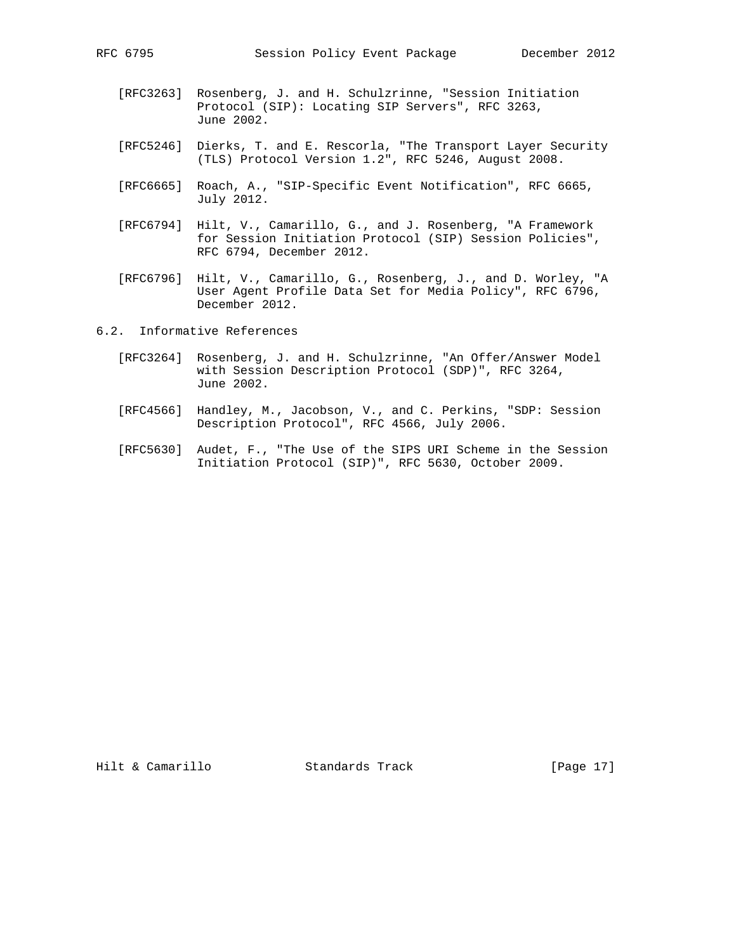- [RFC3263] Rosenberg, J. and H. Schulzrinne, "Session Initiation Protocol (SIP): Locating SIP Servers", RFC 3263,
- [RFC5246] Dierks, T. and E. Rescorla, "The Transport Layer Security (TLS) Protocol Version 1.2", RFC 5246, August 2008.
	- [RFC6665] Roach, A., "SIP-Specific Event Notification", RFC 6665, July 2012.
	- [RFC6794] Hilt, V., Camarillo, G., and J. Rosenberg, "A Framework for Session Initiation Protocol (SIP) Session Policies", RFC 6794, December 2012.
	- [RFC6796] Hilt, V., Camarillo, G., Rosenberg, J., and D. Worley, "A User Agent Profile Data Set for Media Policy", RFC 6796, December 2012.

6.2. Informative References

June 2002.

- [RFC3264] Rosenberg, J. and H. Schulzrinne, "An Offer/Answer Model with Session Description Protocol (SDP)", RFC 3264, June 2002.
- [RFC4566] Handley, M., Jacobson, V., and C. Perkins, "SDP: Session Description Protocol", RFC 4566, July 2006.
- [RFC5630] Audet, F., "The Use of the SIPS URI Scheme in the Session Initiation Protocol (SIP)", RFC 5630, October 2009.

Hilt & Camarillo Standards Track [Page 17]